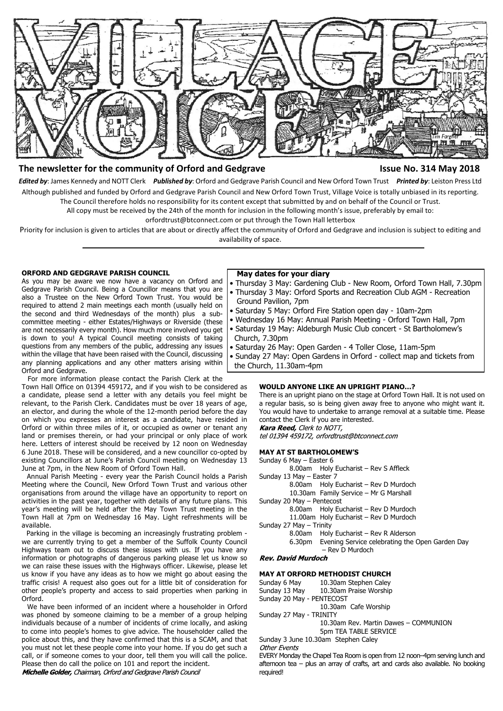

# **The newsletter for the community of Orford and Gedgrave Issue No. 314 May 2018**

*Edited by*: James Kennedy and NOTT Clerk *Published by*: Orford and Gedgrave Parish Council and New Orford Town Trust *Printed by*: Leiston Press Ltd Although published and funded by Orford and Gedgrave Parish Council and New Orford Town Trust, Village Voice is totally unbiased in its reporting. The Council therefore holds no responsibility for its content except that submitted by and on behalf of the Council or Trust.

All copy must be received by the 24th of the month for inclusion in the following month's issue, preferably by email to:

orfordtrust@btconnect.com or put through the Town Hall letterbox

Priority for inclusion is given to articles that are about or directly affect the community of Orford and Gedgrave and inclusion is subject to editing and availability of space.

# **ORFORD AND GEDGRAVE PARISH COUNCIL**

As you may be aware we now have a vacancy on Orford and Gedgrave Parish Council. Being a Councillor means that you are also a Trustee on the New Orford Town Trust. You would be required to attend 2 main meetings each month (usually held on the second and third Wednesdays of the month) plus a subcommittee meeting - either Estates/Highways or Riverside (these are not necessarily every month). How much more involved you get is down to you! A typical Council meeting consists of taking questions from any members of the public, addressing any issues within the village that have been raised with the Council, discussing any planning applications and any other matters arising within Orford and Gedgrave.

 For more information please contact the Parish Clerk at the Town Hall Office on 01394 459172, and if you wish to be considered as a candidate, please send a letter with any details you feel might be relevant, to the Parish Clerk. Candidates must be over 18 years of age, an elector, and during the whole of the 12-month period before the day on which you expresses an interest as a candidate, have resided in Orford or within three miles of it, or occupied as owner or tenant any land or premises therein, or had your principal or only place of work here. Letters of interest should be received by 12 noon on Wednesday 6 June 2018. These will be considered, and a new councillor co-opted by existing Councillors at June's Parish Council meeting on Wednesday 13 June at 7pm, in the New Room of Orford Town Hall.

 Annual Parish Meeting - every year the Parish Council holds a Parish Meeting where the Council, New Orford Town Trust and various other organisations from around the village have an opportunity to report on activities in the past year, together with details of any future plans. This year's meeting will be held after the May Town Trust meeting in the Town Hall at 7pm on Wednesday 16 May. Light refreshments will be available.

 Parking in the village is becoming an increasingly frustrating problem we are currently trying to get a member of the Suffolk County Council Highways team out to discuss these issues with us. If you have any information or photographs of dangerous parking please let us know so we can raise these issues with the Highways officer. Likewise, please let us know if you have any ideas as to how we might go about easing the traffic crisis! A request also goes out for a little bit of consideration for other people's property and access to said properties when parking in Orford.

 We have been informed of an incident where a householder in Orford was phoned by someone claiming to be a member of a group helping individuals because of a number of incidents of crime locally, and asking to come into people's homes to give advice. The householder called the police about this, and they have confirmed that this is a SCAM, and that you must not let these people come into your home. If you do get such a call, or if someone comes to your door, tell them you will call the police. Please then do call the police on 101 and report the incident.

Michelle Golder, Chairman, Orford and Gedgrave Parish Council

#### **May dates for your diary**

- Thursday 3 May: Gardening Club New Room, Orford Town Hall, 7.30pm
- Thursday 3 May: Orford Sports and Recreation Club AGM Recreation Ground Pavilion, 7pm
- Saturday 5 May: Orford Fire Station open day 10am-2pm
- Wednesday 16 May: Annual Parish Meeting Orford Town Hall, 7pm
- Saturday 19 May: Aldeburgh Music Club concert St Bartholomew's Church, 7.30pm
- Saturday 26 May: Open Garden 4 Toller Close, 11am-5pm
- Sunday 27 May: Open Gardens in Orford collect map and tickets from the Church, 11.30am-4pm

# **WOULD ANYONE LIKE AN UPRIGHT PIANO…?**

There is an upright piano on the stage at Orford Town Hall. It is not used on a regular basis, so is being given away free to anyone who might want it. You would have to undertake to arrange removal at a suitable time. Please contact the Clerk if you are interested. Kara Reed, Clerk to NOTT,

tel 01394 459172, orfordtrust@btconnect.com

#### **MAY AT ST BARTHOLOMEW'S**

| Sunday 6 May - Easter 6   |                                                        |
|---------------------------|--------------------------------------------------------|
|                           | 8.00am Holy Eucharist - Rev S Affleck                  |
| Sunday 13 May - Easter 7  |                                                        |
|                           | 8.00am Holy Eucharist - Rev D Murdoch                  |
|                           | 10.30am Family Service - Mr G Marshall                 |
| Sunday 20 May - Pentecost |                                                        |
|                           | 8.00am Holy Eucharist - Rev D Murdoch                  |
|                           | 11.00am Holy Eucharist - Rev D Murdoch                 |
| Sunday 27 May - Trinity   |                                                        |
|                           | 8.00am Holy Eucharist - Rev R Alderson                 |
|                           | 6.30pm Evening Service celebrating the Open Garden Day |
|                           | - Rev D Murdoch                                        |
|                           |                                                        |

#### **Rev. David Murdoch**

#### **MAY AT ORFORD METHODIST CHURCH**

Sunday 6 May 10.30am Stephen Caley Sunday 13 May 10.30am Praise Worship Sunday 20 May - PENTECOST 10.30am Cafe Worship Sunday 27 May - TRINITY 10.30am Rev. Martin Dawes – COMMUNION 5pm TEA TABLE SERVICE

Sunday 3 June 10.30am Stephen Caley

Other Fyents

EVERY Monday the Chapel Tea Room is open from 12 noon–4pm serving lunch and afternoon tea – plus an array of crafts, art and cards also available. No booking required!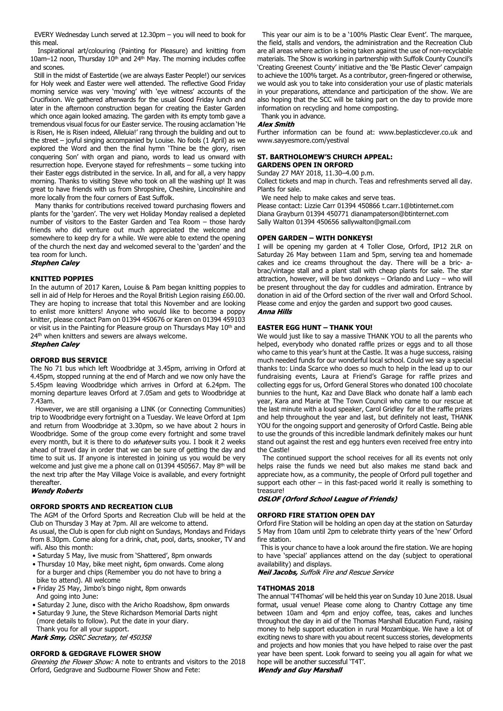EVERY Wednesday Lunch served at 12.30pm – you will need to book for this meal.

 Inspirational art/colouring (Painting for Pleasure) and knitting from 10am–12 noon, Thursday  $10<sup>th</sup>$  and 24<sup>th</sup> May. The morning includes coffee and scones.

 Still in the midst of Eastertide (we are always Easter People!) our services for Holy week and Easter were well attended. The reflective Good Friday morning service was very 'moving' with 'eye witness' accounts of the Crucifixion. We gathered afterwards for the usual Good Friday lunch and later in the afternoon construction began for creating the Easter Garden which once again looked amazing. The garden with its empty tomb gave a tremendous visual focus for our Easter service. The rousing acclamation 'He is Risen, He is Risen indeed, Alleluia!' rang through the building and out to the street – joyful singing accompanied by Louise. No fools (1 April) as we explored the Word and then the final hymn 'Thine be the glory, risen conquering Son' with organ and piano, words to lead us onward with resurrection hope. Everyone stayed for refreshments – some tucking into their Easter eggs distributed in the service. In all, and for all, a very happy morning. Thanks to visiting Steve who took on all the washing up! It was great to have friends with us from Shropshire, Cheshire, Lincolnshire and more locally from the four corners of East Suffolk.

 Many thanks for contributions received toward purchasing flowers and plants for the 'garden'. The very wet Holiday Monday realised a depleted number of visitors to the Easter Garden and Tea Room – those hardy friends who did venture out much appreciated the welcome and somewhere to keep dry for a while. We were able to extend the opening of the church the next day and welcomed several to the 'garden' and the tea room for lunch.<br>Stephen Caley

#### **KNITTED POPPIES**

In the autumn of 2017 Karen, Louise & Pam began knitting poppies to sell in aid of Help for Heroes and the Royal British Legion raising £60.00. They are hoping to increase that total this November and are looking to enlist more knitters! Anyone who would like to become a poppy knitter, please contact Pam on 01394 450676 or Karen on 01394 459103 or visit us in the Painting for Pleasure group on Thursdays May 10<sup>th</sup> and 24<sup>th</sup> when knitters and sewers are always welcome. **Stephen Caley** 

# **ORFORD BUS SERVICE**

The No 71 bus which left Woodbridge at 3.45pm, arriving in Orford at 4.45pm, stopped running at the end of March and we now only have the 5.45pm leaving Woodbridge which arrives in Orford at 6.24pm. The morning departure leaves Orford at 7.05am and gets to Woodbridge at 7.43am.

 However, we are still organising a LINK (or Connecting Communities) trip to Woodbridge every fortnight on a Tuesday. We leave Orford at 1pm and return from Woodbridge at 3.30pm, so we have about 2 hours in Woodbridge. Some of the group come every fortnight and some travel every month, but it is there to do whatever suits you. I book it 2 weeks ahead of travel day in order that we can be sure of getting the day and time to suit us. If anyone is interested in joining us you would be very welcome and just give me a phone call on 01394 450567. May 8<sup>th</sup> will be the next trip after the May Village Voice is available, and every fortnight thereafter.

### **Wendy Roberts**

# **ORFORD SPORTS AND RECREATION CLUB**

The AGM of the Orford Sports and Recreation Club will be held at the Club on Thursday 3 May at 7pm. All are welcome to attend.

As usual, the Club is open for club night on Sundays, Mondays and Fridays from 8.30pm. Come along for a drink, chat, pool, darts, snooker, TV and wifi. Also this month:

- Saturday 5 May, live music from 'Shattered', 8pm onwards
- Thursday 10 May, bike meet night, 6pm onwards. Come along for a burger and chips (Remember you do not have to bring a bike to attend). All welcome
- Friday 25 May, Jimbo's bingo night, 8pm onwards And going into June:
- Saturday 2 June, disco with the Aricho Roadshow, 8pm onwards

 • Saturday 9 June, the Steve Richardson Memorial Darts night (more details to follow). Put the date in your diary. Thank you for all your support.

Mark Smy, OSRC Secretary, tel 450358

#### **ORFORD & GEDGRAVE FLOWER SHOW**

Greening the Flower Show: A note to entrants and visitors to the 2018 Orford, Gedgrave and Sudbourne Flower Show and Fete:

 This year our aim is to be a '100% Plastic Clear Event'. The marquee, the field, stalls and vendors, the administration and the Recreation Club are all areas where action is being taken against the use of non-recyclable materials. The Show is working in partnership with Suffolk County Council's 'Creating Greenest County' initiative and the 'Be Plastic Clever' campaign to achieve the 100% target. As a contributor, green-fingered or otherwise, we would ask you to take into consideration your use of plastic materials in your preparations, attendance and participation of the show. We are also hoping that the SCC will be taking part on the day to provide more information on recycling and home composting.

Thank you in advance.

#### **Alex Smith**

Further information can be found at: www.beplasticclever.co.uk and www.sayyesmore.com/yestival

### **ST. BARTHOLOMEW'S CHURCH APPEAL: GARDENS OPEN IN ORFORD**

Sunday 27 MAY 2018, 11.30–4.00 p.m.

Collect tickets and map in church. Teas and refreshments served all day. Plants for sale.

We need help to make cakes and serve teas.

Please contact: Lizzie Carr 01394 450866 t.carr.1@btinternet.com Diana Grayburn 01394 450771 dianampaterson@btinternet.com Sally Walton 01394 450656 sallywalton@gmail.com

# **OPEN GARDEN – WITH DONKEYS!**

I will be opening my garden at 4 Toller Close, Orford, IP12 2LR on Saturday 26 May between 11am and 5pm, serving tea and homemade cakes and ice creams throughout the day. There will be a bric- abrac/vintage stall and a plant stall with cheap plants for sale. The star attraction, however, will be two donkeys – Orlando and Lucy – who will be present throughout the day for cuddles and admiration. Entrance by donation in aid of the Orford section of the river wall and Orford School. Please come and enjoy the garden and support two good causes. **Anna Hills** 

## **EASTER EGG HUNT – THANK YOU!**

We would just like to say a massive THANK YOU to all the parents who helped, everybody who donated raffle prizes or eggs and to all those who came to this year's hunt at the Castle. It was a huge success, raising much needed funds for our wonderful local school. Could we say a special thanks to: Linda Scarce who does so much to help in the lead up to our fundraising events, Laura at Friend's Garage for raffle prizes and collecting eggs for us, Orford General Stores who donated 100 chocolate bunnies to the hunt, Kaz and Dave Black who donate half a lamb each year, Kara and Marie at The Town Council who came to our rescue at the last minute with a loud speaker, Carol Gridley for all the raffle prizes and help throughout the year and last, but definitely not least, THANK YOU for the ongoing support and generosity of Orford Castle. Being able to use the grounds of this incredible landmark definitely makes our hunt stand out against the rest and egg hunters even received free entry into the Castle!

 The continued support the school receives for all its events not only helps raise the funds we need but also makes me stand back and appreciate how, as a community, the people of Orford pull together and support each other – in this fast-paced world it really is something to treasure!

# **OSLOF (Orford School League of Friends)**

#### **ORFORD FIRE STATION OPEN DAY**

Orford Fire Station will be holding an open day at the station on Saturday 5 May from 10am until 2pm to celebrate thirty years of the 'new' Orford fire station.

 This is your chance to have a look around the fire station. We are hoping to have 'special' appliances attend on the day (subject to operational availability) and displays.

Neil Jacobs, Suffolk Fire and Rescue Service

#### **T4THOMAS 2018**

The annual 'T4Thomas' will be held this year on Sunday 10 June 2018. Usual format, usual venue! Please come along to Chantry Cottage any time between 10am and 4pm and enjoy coffee, teas, cakes and lunches throughout the day in aid of the Thomas Marshall Education Fund, raising money to help support education in rural Mozambique. We have a lot of exciting news to share with you about recent success stories, developments and projects and how monies that you have helped to raise over the past year have been spent. Look forward to seeing you all again for what we hope will be another successful 'T4T'.

**Wendy and Guy Marshall**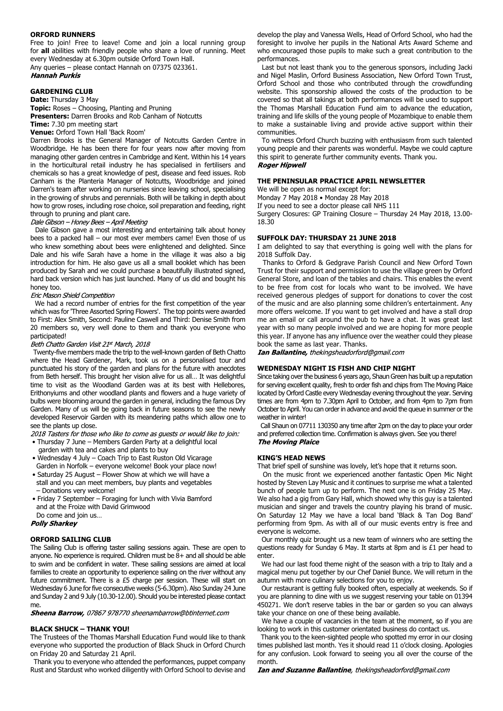# **ORFORD RUNNERS**

Free to join! Free to leave! Come and join a local running group for **all** abilities with friendly people who share a love of running. Meet every Wednesday at 6.30pm outside Orford Town Hall. Any queries – please contact Hannah on 07375 023361.

**Hannah Purkis** 

# **GARDENING CLUB**

**Date:** Thursday 3 May

**Topic:** Roses – Choosing, Planting and Pruning **Presenters:** Darren Brooks and Rob Canham of Notcutts

**Time:** 7.30 pm meeting start

**Venue:** Orford Town Hall 'Back Room'

Darren Brooks is the General Manager of Notcutts Garden Centre in Woodbridge. He has been there for four years now after moving from managing other garden centres in Cambridge and Kent. Within his 14 years in the horticultural retail industry he has specialised in fertilisers and chemicals so has a great knowledge of pest, disease and feed issues. Rob Canham is the Planteria Manager of Notcutts, Woodbridge and joined Darren's team after working on nurseries since leaving school, specialising in the growing of shrubs and perennials. Both will be talking in depth about how to grow roses, including rose choice, soil preparation and feeding, right through to pruning and plant care.

Dale Gibson - Honey Bees - April Meeting

Dale Gibson gave a most interesting and entertaining talk about honey bees to a packed hall – our most ever members came! Even those of us who knew something about bees were enlightened and delighted. Since Dale and his wife Sarah have a home in the village it was also a big introduction for him. He also gave us all a small booklet which has been produced by Sarah and we could purchase a beautifully illustrated signed, hard back version which has just launched. Many of us did and bought his honey too.

#### Eric Mason Shield Competition

We had a record number of entries for the first competition of the year which was for 'Three Assorted Spring Flowers'. The top points were awarded to First: Alex Smith, Second: Pauline Caswell and Third: Denise Smith from 20 members so, very well done to them and thank you everyone who participated!

#### Beth Chatto Garden Visit 21st March, 2018

Twenty-five members made the trip to the well-known garden of Beth Chatto where the Head Gardener, Mark, took us on a personalised tour and punctuated his story of the garden and plans for the future with anecdotes from Beth herself. This brought her vision alive for us all… It was delightful time to visit as the Woodland Garden was at its best with Hellebores, Erithonyiums and other woodland plants and flowers and a huge variety of bulbs were blooming around the garden in general, including the famous Dry Garden. Many of us will be going back in future seasons to see the newly developed Reservoir Garden with its meandering paths which allow one to see the plants up close.

2018 Tasters for those who like to come as quests or would like to join:

- Thursday 7 June Members Garden Party at a delightful local garden with tea and cakes and plants to buy
- Wednesday 4 July Coach Trip to East Ruston Old Vicarage Garden in Norfolk – everyone welcome! Book your place now!
- Saturday 25 August Flower Show at which we will have a stall and you can meet members, buy plants and vegetables – Donations very welcome!
- Friday 7 September Foraging for lunch with Vivia Bamford and at the Froize with David Grimwood

Do come and join us…

**Polly Sharkey** 

# **ORFORD SAILING CLUB**

The Sailing Club is offering taster sailing sessions again. These are open to anyone. No experience is required. Children must be 8+ and all should be able to swim and be confident in water. These sailing sessions are aimed at local families to create an opportunity to experience sailing on the river without any future commitment. There is a £5 charge per session. These will start on Wednesday 6 June for five consecutive weeks (5-6.30pm). Also Sunday 24 June and Sunday 2 and 9 July (10.30-12.00). Should you be interested please contact me.

Sheena Barrow, 07867 978770 sheenambarrow@btinternet.com

# **BLACK SHUCK – THANK YOU!**

The Trustees of the Thomas Marshall Education Fund would like to thank everyone who supported the production of Black Shuck in Orford Church on Friday 20 and Saturday 21 April.

 Thank you to everyone who attended the performances, puppet company Rust and Stardust who worked diligently with Orford School to devise and develop the play and Vanessa Wells, Head of Orford School, who had the foresight to involve her pupils in the National Arts Award Scheme and who encouraged those pupils to make such a great contribution to the performances.

 Last but not least thank you to the generous sponsors, including Jacki and Nigel Maslin, Orford Business Association, New Orford Town Trust, Orford School and those who contributed through the crowdfunding website. This sponsorship allowed the costs of the production to be covered so that all takings at both performances will be used to support the Thomas Marshall Education Fund aim to advance the education, training and life skills of the young people of Mozambique to enable them to make a sustainable living and provide active support within their communities.

 To witness Orford Church buzzing with enthusiasm from such talented young people and their parents was wonderful. Maybe we could capture this spirit to generate further community events. Thank you. **Roger Hipwell** 

#### **THE PENINSULAR PRACTICE APRIL NEWSLETTER**

We will be open as normal except for:

Monday 7 May 2018 • Monday 28 May 2018

If you need to see a doctor please call NHS 111

Surgery Closures: GP Training Closure – Thursday 24 May 2018, 13.00- 18.30

# **SUFFOLK DAY: THURSDAY 21 JUNE 2018**

I am delighted to say that everything is going well with the plans for 2018 Suffolk Day.

 Thanks to Orford & Gedgrave Parish Council and New Orford Town Trust for their support and permission to use the village green by Orford General Store, and loan of the tables and chairs. This enables the event to be free from cost for locals who want to be involved. We have received generous pledges of support for donations to cover the cost of the music and are also planning some children's entertainment. Any more offers welcome. If you want to get involved and have a stall drop me an email or call around the pub to have a chat. It was great last year with so many people involved and we are hoping for more people this year. If anyone has any influence over the weather could they please book the same as last year. Thanks.

Ian Ballantine, thekingsheadorford@gmail.com

# **WEDNESDAY NIGHT IS FISH AND CHIP NIGHT**

Since taking over the business 6 years ago, Shaun Green has built up a reputation for serving excellent quality, fresh to order fish and chips from The Moving Plaice located by Orford Castle every Wednesday evening throughout the year. Serving times are from 4pm to 7.30pm April to October, and from 4pm to 7pm from October to April. You can order in advance and avoid the queue in summer or the weather in winter!

 Call Shaun on 07711 130350 any time after 2pm on the day to place your order and preferred collection time. Confirmation is always given. See you there! **The Moving Plaice** 

#### **KING'S HEAD NEWS**

That brief spell of sunshine was lovely, let's hope that it returns soon.

 On the music front we experienced another fantastic Open Mic Night hosted by Steven Lay Music and it continues to surprise me what a talented bunch of people turn up to perform. The next one is on Friday 25 May. We also had a gig from Gary Hall, which showed why this guy is a talented musician and singer and travels the country playing his brand of music. On Saturday 12 May we have a local band 'Black & Tan Dog Band' performing from 9pm. As with all of our music events entry is free and everyone is welcome.

 Our monthly quiz brought us a new team of winners who are setting the questions ready for Sunday 6 May. It starts at 8pm and is £1 per head to enter.

 We had our last food theme night of the season with a trip to Italy and a magical menu put together by our Chef Daniel Bunce. We will return in the autumn with more culinary selections for you to enjoy.

 Our restaurant is getting fully booked often, especially at weekends. So if you are planning to dine with us we suggest reserving your table on 01394 450271. We don't reserve tables in the bar or garden so you can always take your chance on one of these being available.

 We have a couple of vacancies in the team at the moment, so if you are looking to work in this customer orientated business do contact us.

 Thank you to the keen-sighted people who spotted my error in our closing times published last month. Yes it should read 11 o'clock closing. Apologies for any confusion. Look forward to seeing you all over the course of the month.

Ian and Suzanne Ballantine, thekingsheadorford@gmail.com